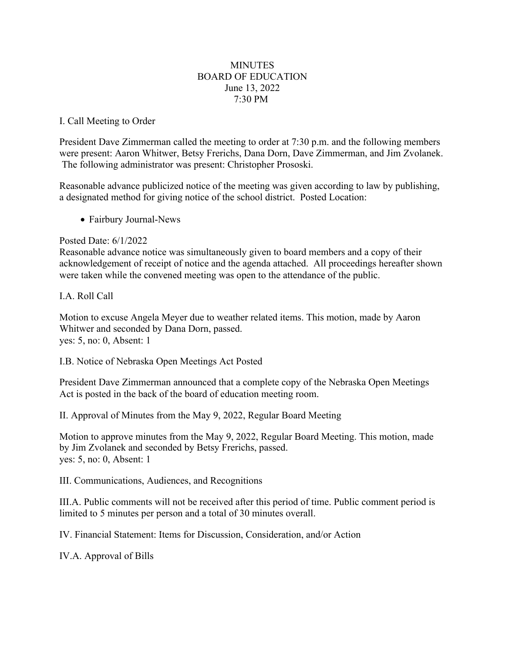## **MINUTES** BOARD OF EDUCATION June 13, 2022 7:30 PM

## I. Call Meeting to Order

President Dave Zimmerman called the meeting to order at 7:30 p.m. and the following members were present: Aaron Whitwer, Betsy Frerichs, Dana Dorn, Dave Zimmerman, and Jim Zvolanek. The following administrator was present: Christopher Prososki.

Reasonable advance publicized notice of the meeting was given according to law by publishing, a designated method for giving notice of the school district. Posted Location:

• Fairbury Journal-News

## Posted Date: 6/1/2022

Reasonable advance notice was simultaneously given to board members and a copy of their acknowledgement of receipt of notice and the agenda attached. All proceedings hereafter shown were taken while the convened meeting was open to the attendance of the public.

# I.A. Roll Call

Motion to excuse Angela Meyer due to weather related items. This motion, made by Aaron Whitwer and seconded by Dana Dorn, passed. yes: 5, no: 0, Absent: 1

I.B. Notice of Nebraska Open Meetings Act Posted

President Dave Zimmerman announced that a complete copy of the Nebraska Open Meetings Act is posted in the back of the board of education meeting room.

II. Approval of Minutes from the May 9, 2022, Regular Board Meeting

Motion to approve minutes from the May 9, 2022, Regular Board Meeting. This motion, made by Jim Zvolanek and seconded by Betsy Frerichs, passed. yes: 5, no: 0, Absent: 1

III. Communications, Audiences, and Recognitions

III.A. Public comments will not be received after this period of time. Public comment period is limited to 5 minutes per person and a total of 30 minutes overall.

IV. Financial Statement: Items for Discussion, Consideration, and/or Action

IV.A. Approval of Bills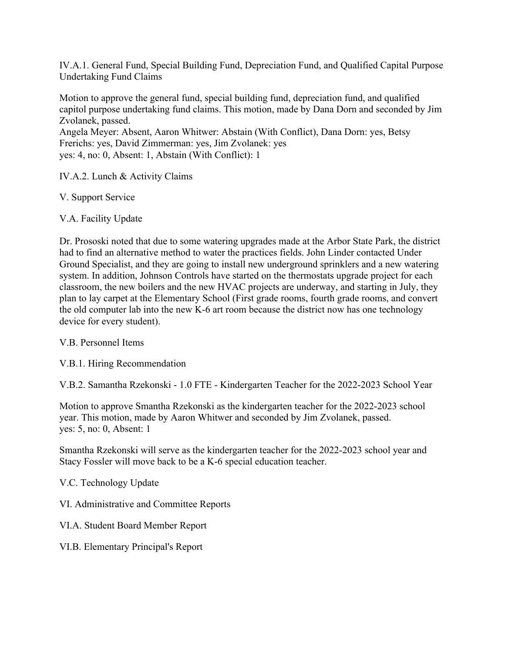IV.A.1. General Fund, Special Building Fund, Depreciation Fund, and Qualified Capital Purpose Undertaking Fund Claims

Motion to approve the general fund, special building fund, depreciation fund, and qualified capitol purpose undertaking fund claims. This motion, made by Dana Dorn and seconded by Jim Zvolanek, passed.

Angela Meyer: Absent, Aaron Whitwer: Abstain (With Conflict), Dana Dorn: yes, Betsy Frerichs: yes, David Zimmerman: yes, Jim Zvolanek: yes yes: 4, no: 0, Absent: 1, Abstain (With Conflict): 1

IV.A.2. Lunch & Activity Claims

V. Support Service

V.A. Facility Update

Dr. Prososki noted that due to some watering upgrades made at the Arbor State Park, the district had to find an alternative method to water the practices fields. John Linder contacted Under Ground Specialist, and they are going to install new underground sprinklers and a new watering system. In addition, Johnson Controls have started on the thermostats upgrade project for each classroom, the new boilers and the new HVAC projects are underway, and starting in July, they plan to lay carpet at the Elementary School (First grade rooms, fourth grade rooms, and convert the old computer lab into the new K-6 art room because the district now has one technology device for every student).

V.B. Personnel Items

V.B.1. Hiring Recommendation

V.B.2. Samantha Rzekonski - 1.0 FTE - Kindergarten Teacher for the 2022-2023 School Year

Motion to approve Smantha Rzekonski as the kindergarten teacher for the 2022-2023 school year. This motion, made by Aaron Whitwer and seconded by Jim Zvolanek, passed. yes: 5, no: 0, Absent: 1

Smantha Rzekonski will serve as the kindergarten teacher for the 2022-2023 school year and Stacy Fossler will move back to be a K-6 special education teacher.

V.C. Technology Update

VI. Administrative and Committee Reports

VI.A. Student Board Member Report

VI.B. Elementary Principal's Report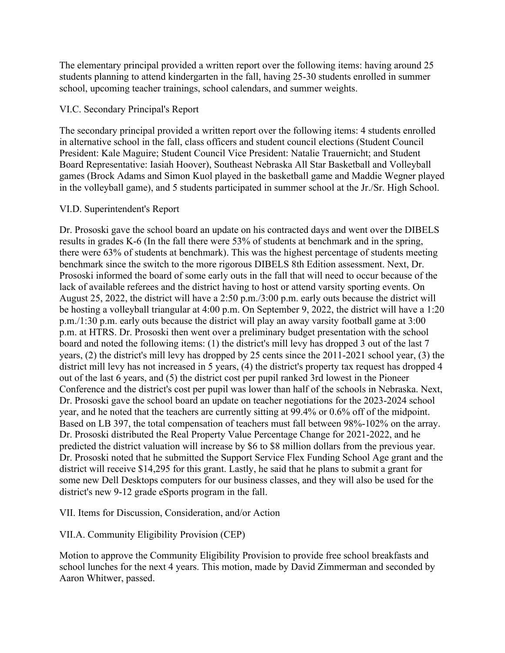The elementary principal provided a written report over the following items: having around 25 students planning to attend kindergarten in the fall, having 25-30 students enrolled in summer school, upcoming teacher trainings, school calendars, and summer weights.

#### VI.C. Secondary Principal's Report

The secondary principal provided a written report over the following items: 4 students enrolled in alternative school in the fall, class officers and student council elections (Student Council President: Kale Maguire; Student Council Vice President: Natalie Trauernicht; and Student Board Representative: Iasiah Hoover), Southeast Nebraska All Star Basketball and Volleyball games (Brock Adams and Simon Kuol played in the basketball game and Maddie Wegner played in the volleyball game), and 5 students participated in summer school at the Jr./Sr. High School.

## VI.D. Superintendent's Report

Dr. Prososki gave the school board an update on his contracted days and went over the DIBELS results in grades K-6 (In the fall there were 53% of students at benchmark and in the spring, there were 63% of students at benchmark). This was the highest percentage of students meeting benchmark since the switch to the more rigorous DIBELS 8th Edition assessment. Next, Dr. Prososki informed the board of some early outs in the fall that will need to occur because of the lack of available referees and the district having to host or attend varsity sporting events. On August 25, 2022, the district will have a 2:50 p.m./3:00 p.m. early outs because the district will be hosting a volleyball triangular at 4:00 p.m. On September 9, 2022, the district will have a 1:20 p.m./1:30 p.m. early outs because the district will play an away varsity football game at 3:00 p.m. at HTRS. Dr. Prososki then went over a preliminary budget presentation with the school board and noted the following items: (1) the district's mill levy has dropped 3 out of the last 7 years, (2) the district's mill levy has dropped by 25 cents since the 2011-2021 school year, (3) the district mill levy has not increased in 5 years, (4) the district's property tax request has dropped 4 out of the last 6 years, and (5) the district cost per pupil ranked 3rd lowest in the Pioneer Conference and the district's cost per pupil was lower than half of the schools in Nebraska. Next, Dr. Prososki gave the school board an update on teacher negotiations for the 2023-2024 school year, and he noted that the teachers are currently sitting at 99.4% or 0.6% off of the midpoint. Based on LB 397, the total compensation of teachers must fall between 98%-102% on the array. Dr. Prososki distributed the Real Property Value Percentage Change for 2021-2022, and he predicted the district valuation will increase by \$6 to \$8 million dollars from the previous year. Dr. Prososki noted that he submitted the Support Service Flex Funding School Age grant and the district will receive \$14,295 for this grant. Lastly, he said that he plans to submit a grant for some new Dell Desktops computers for our business classes, and they will also be used for the district's new 9-12 grade eSports program in the fall.

VII. Items for Discussion, Consideration, and/or Action

VII.A. Community Eligibility Provision (CEP)

Motion to approve the Community Eligibility Provision to provide free school breakfasts and school lunches for the next 4 years. This motion, made by David Zimmerman and seconded by Aaron Whitwer, passed.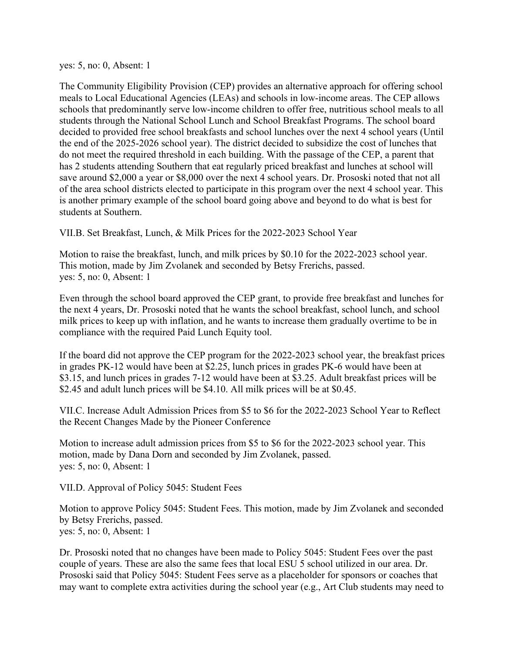yes: 5, no: 0, Absent: 1

The Community Eligibility Provision (CEP) provides an alternative approach for offering school meals to Local Educational Agencies (LEAs) and schools in low-income areas. The CEP allows schools that predominantly serve low-income children to offer free, nutritious school meals to all students through the National School Lunch and School Breakfast Programs. The school board decided to provided free school breakfasts and school lunches over the next 4 school years (Until the end of the 2025-2026 school year). The district decided to subsidize the cost of lunches that do not meet the required threshold in each building. With the passage of the CEP, a parent that has 2 students attending Southern that eat regularly priced breakfast and lunches at school will save around \$2,000 a year or \$8,000 over the next 4 school years. Dr. Prososki noted that not all of the area school districts elected to participate in this program over the next 4 school year. This is another primary example of the school board going above and beyond to do what is best for students at Southern.

VII.B. Set Breakfast, Lunch, & Milk Prices for the 2022-2023 School Year

Motion to raise the breakfast, lunch, and milk prices by \$0.10 for the 2022-2023 school year. This motion, made by Jim Zvolanek and seconded by Betsy Frerichs, passed. yes: 5, no: 0, Absent: 1

Even through the school board approved the CEP grant, to provide free breakfast and lunches for the next 4 years, Dr. Prososki noted that he wants the school breakfast, school lunch, and school milk prices to keep up with inflation, and he wants to increase them gradually overtime to be in compliance with the required Paid Lunch Equity tool.

If the board did not approve the CEP program for the 2022-2023 school year, the breakfast prices in grades PK-12 would have been at \$2.25, lunch prices in grades PK-6 would have been at \$3.15, and lunch prices in grades 7-12 would have been at \$3.25. Adult breakfast prices will be \$2.45 and adult lunch prices will be \$4.10. All milk prices will be at \$0.45.

VII.C. Increase Adult Admission Prices from \$5 to \$6 for the 2022-2023 School Year to Reflect the Recent Changes Made by the Pioneer Conference

Motion to increase adult admission prices from \$5 to \$6 for the 2022-2023 school year. This motion, made by Dana Dorn and seconded by Jim Zvolanek, passed. yes: 5, no: 0, Absent: 1

VII.D. Approval of Policy 5045: Student Fees

Motion to approve Policy 5045: Student Fees. This motion, made by Jim Zvolanek and seconded by Betsy Frerichs, passed. yes: 5, no: 0, Absent: 1

Dr. Prososki noted that no changes have been made to Policy 5045: Student Fees over the past couple of years. These are also the same fees that local ESU 5 school utilized in our area. Dr. Prososki said that Policy 5045: Student Fees serve as a placeholder for sponsors or coaches that may want to complete extra activities during the school year (e.g., Art Club students may need to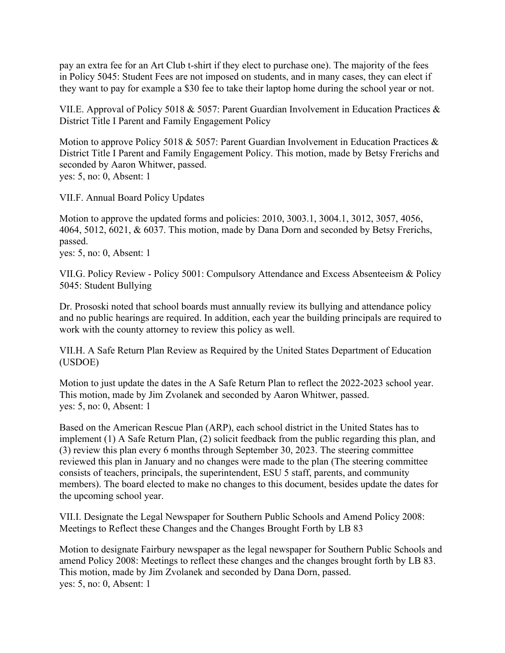pay an extra fee for an Art Club t-shirt if they elect to purchase one). The majority of the fees in Policy 5045: Student Fees are not imposed on students, and in many cases, they can elect if they want to pay for example a \$30 fee to take their laptop home during the school year or not.

VII.E. Approval of Policy 5018 & 5057: Parent Guardian Involvement in Education Practices & District Title I Parent and Family Engagement Policy

Motion to approve Policy 5018 & 5057: Parent Guardian Involvement in Education Practices & District Title I Parent and Family Engagement Policy. This motion, made by Betsy Frerichs and seconded by Aaron Whitwer, passed. yes: 5, no: 0, Absent: 1

VII.F. Annual Board Policy Updates

Motion to approve the updated forms and policies: 2010, 3003.1, 3004.1, 3012, 3057, 4056, 4064, 5012, 6021, & 6037. This motion, made by Dana Dorn and seconded by Betsy Frerichs, passed. yes: 5, no: 0, Absent: 1

VII.G. Policy Review - Policy 5001: Compulsory Attendance and Excess Absenteeism & Policy 5045: Student Bullying

Dr. Prososki noted that school boards must annually review its bullying and attendance policy and no public hearings are required. In addition, each year the building principals are required to work with the county attorney to review this policy as well.

VII.H. A Safe Return Plan Review as Required by the United States Department of Education (USDOE)

Motion to just update the dates in the A Safe Return Plan to reflect the 2022-2023 school year. This motion, made by Jim Zvolanek and seconded by Aaron Whitwer, passed. yes: 5, no: 0, Absent: 1

Based on the American Rescue Plan (ARP), each school district in the United States has to implement (1) A Safe Return Plan, (2) solicit feedback from the public regarding this plan, and (3) review this plan every 6 months through September 30, 2023. The steering committee reviewed this plan in January and no changes were made to the plan (The steering committee consists of teachers, principals, the superintendent, ESU 5 staff, parents, and community members). The board elected to make no changes to this document, besides update the dates for the upcoming school year.

VII.I. Designate the Legal Newspaper for Southern Public Schools and Amend Policy 2008: Meetings to Reflect these Changes and the Changes Brought Forth by LB 83

Motion to designate Fairbury newspaper as the legal newspaper for Southern Public Schools and amend Policy 2008: Meetings to reflect these changes and the changes brought forth by LB 83. This motion, made by Jim Zvolanek and seconded by Dana Dorn, passed. yes: 5, no: 0, Absent: 1